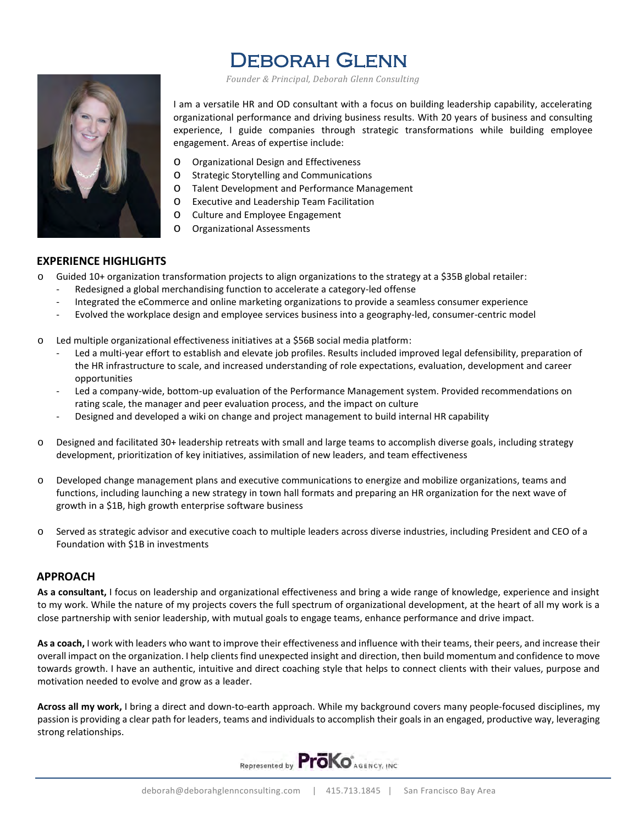# Deborah Glenn

 *Founder & Principal, Deborah Glenn Consulting*

I am a versatile HR and OD consultant with a focus on building leadership capability, accelerating organizational performance and driving business results. With 20 years of business and consulting experience, I guide companies through strategic transformations while building employee engagement. Areas of expertise include:

- o Organizational Design and Effectiveness
- o Strategic Storytelling and Communications
- o Talent Development and Performance Management
- o Executive and Leadership Team Facilitation
- o Culture and Employee Engagement
- o Organizational Assessments

## **EXPERIENCE HIGHLIGHTS**

- $\circ$  Guided 10+ organization transformation projects to align organizations to the strategy at a \$35B global retailer:
	- Redesigned a global merchandising function to accelerate a category-led offense
	- Integrated the eCommerce and online marketing organizations to provide a seamless consumer experience
	- Evolved the workplace design and employee services business into a geography-led, consumer-centric model
- o Led multiple organizational effectiveness initiatives at a \$56B social media platform:
	- Led a multi-year effort to establish and elevate job profiles. Results included improved legal defensibility, preparation of the HR infrastructure to scale, and increased understanding of role expectations, evaluation, development and career opportunities
	- Led a company-wide, bottom-up evaluation of the Performance Management system. Provided recommendations on rating scale, the manager and peer evaluation process, and the impact on culture
	- Designed and developed a wiki on change and project management to build internal HR capability
- o Designed and facilitated 30+ leadership retreats with small and large teams to accomplish diverse goals, including strategy development, prioritization of key initiatives, assimilation of new leaders, and team effectiveness
- o Developed change management plans and executive communications to energize and mobilize organizations, teams and functions, including launching a new strategy in town hall formats and preparing an HR organization for the next wave of growth in a \$1B, high growth enterprise software business
- o Served as strategic advisor and executive coach to multiple leaders across diverse industries, including President and CEO of a Foundation with \$1B in investments

# **APPROACH**

**As a consultant,** I focus on leadership and organizational effectiveness and bring a wide range of knowledge, experience and insight to my work. While the nature of my projects covers the full spectrum of organizational development, at the heart of all my work is a close partnership with senior leadership, with mutual goals to engage teams, enhance performance and drive impact.

**As a coach,** I work with leaders who want to improve their effectiveness and influence with their teams, their peers, and increase their overall impact on the organization. I help clients find unexpected insight and direction, then build momentum and confidence to move towards growth. I have an authentic, intuitive and direct coaching style that helps to connect clients with their values, purpose and motivation needed to evolve and grow as a leader.

**Across all my work,** I bring a direct and down-to-earth approach. While my background covers many people-focused disciplines, my passion is providing a clear path for leaders, teams and individuals to accomplish their goals in an engaged, productive way, leveraging strong relationships.

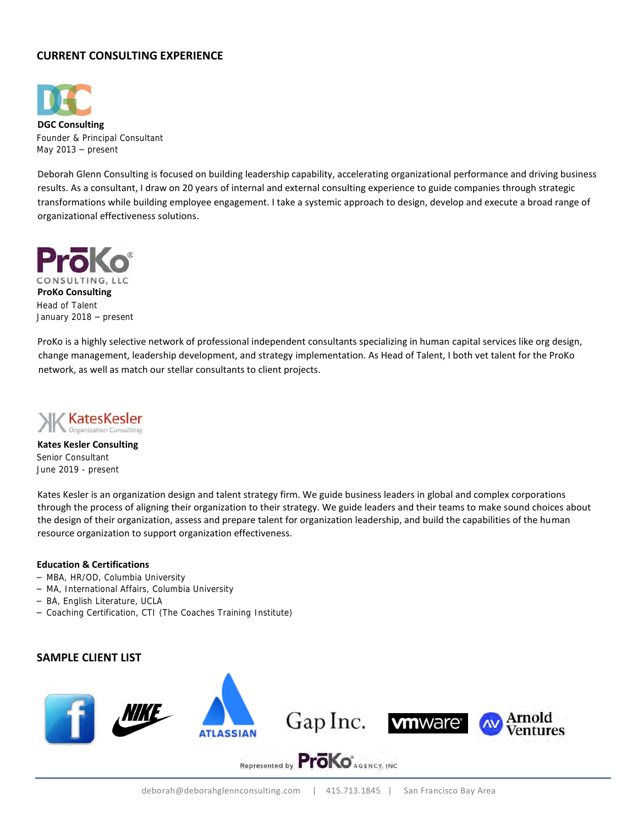# **CURRENT CONSULTING EXPERIENCE**



**DGC Consulting** Founder & Principal Consultant May 2013 – present

Deborah Glenn Consulting is focused on building leadership capability, accelerating organizational performance and driving business results. As a consultant, I draw on 20 years of internal and external consulting experience to guide companies through strategic transformations while building employee engagement. I take a systemic approach to design, develop and execute a broad range of organizational effectiveness solutions.



ProKo is a highly selective network of professional independent consultants specializing in human capital services like org design, change management, leadership development, and strategy implementation. As Head of Talent, I both vet talent for the ProKo network, as well as match our stellar consultants to client projects.



**Kates Kesler Consulting** Senior Consultant June 2019 - present

Kates Kesler is an organization design and talent strategy firm. We guide business leaders in global and complex corporations through the process of aligning their organization to their strategy. We guide leaders and their teams to make sound choices about the design of their organization, assess and prepare talent for organization leadership, and build the capabilities of the human resource organization to support organization effectiveness.

#### **Education & Certifications**

- MBA, HR/OD, Columbia University
- MA, International Affairs, Columbia University
- BA, English Literature, UCLA
- Coaching Certification, CTI (The Coaches Training Institute)

### **SAMPLE CLIENT LIST**